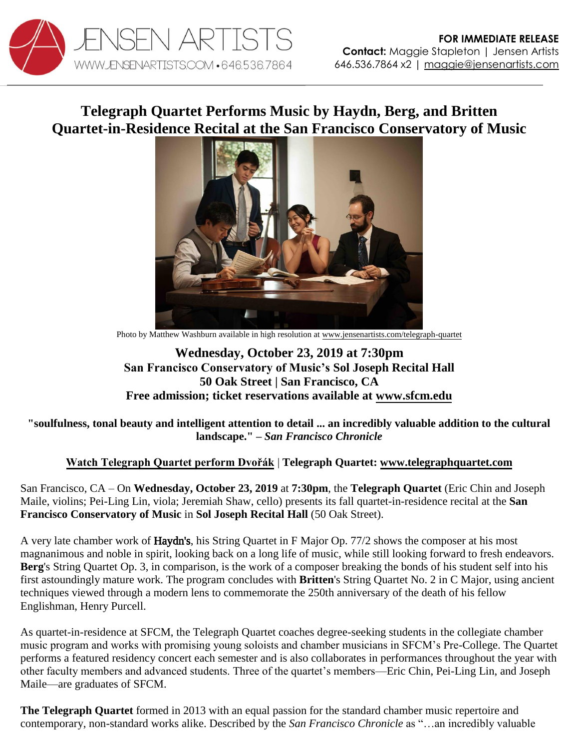

## **Telegraph Quartet Performs Music by Haydn, Berg, and Britten Quartet-in-Residence Recital at the San Francisco Conservatory of Music**



Photo by Matthew Washburn available in high resolution a[t www.jensenartists.com/telegraph-quartet](http://www.jensenartists.com/telegraph-quartet)

## **Wednesday, October 23, 2019 at 7:30pm San Francisco Conservatory of Music's Sol Joseph Recital Hall 50 Oak Street | San Francisco, CA Free admission; ticket reservations available at [www.sfcm.edu](https://sfcm.edu/performance-calendar/event/telegraph-quartet)**

**"soulfulness, tonal beauty and intelligent attention to detail ... an incredibly valuable addition to the cultural landscape." –** *San Francisco Chronicle* 

## **[Watch Telegraph Quartet perform Dvořák](https://youtu.be/dgI4xUcPUZ8)** | **Telegraph Quartet: [www.telegraphquartet.com](http://www.telegraphquartet.com/)**

San Francisco, CA – On **Wednesday, October 23, 2019** at **7:30pm**, the **Telegraph Quartet** (Eric Chin and Joseph Maile, violins; Pei-Ling Lin, viola; Jeremiah Shaw, cello) presents its fall quartet-in-residence recital at the **San Francisco Conservatory of Music** in **Sol Joseph Recital Hall** (50 Oak Street).

A very late chamber work of Haydn's, his String Quartet in F Major Op. 77/2 shows the composer at his most magnanimous and noble in spirit, looking back on a long life of music, while still looking forward to fresh endeavors. **Berg**'s String Quartet Op. 3, in comparison, is the work of a composer breaking the bonds of his student self into his first astoundingly mature work. The program concludes with **Britten**'s String Quartet No. 2 in C Major, using ancient techniques viewed through a modern lens to commemorate the 250th anniversary of the death of his fellow Englishman, Henry Purcell.

As quartet-in-residence at SFCM, the Telegraph Quartet coaches degree-seeking students in the collegiate chamber music program and works with promising young soloists and chamber musicians in SFCM's Pre-College. The Quartet performs a featured residency concert each semester and is also collaborates in performances throughout the year with other faculty members and advanced students. Three of the quartet's members—Eric Chin, Pei-Ling Lin, and Joseph Maile—are graduates of SFCM.

**The Telegraph Quartet** formed in 2013 with an equal passion for the standard chamber music repertoire and contemporary, non-standard works alike. Described by the *San Francisco Chronicle* as "…an incredibly valuable